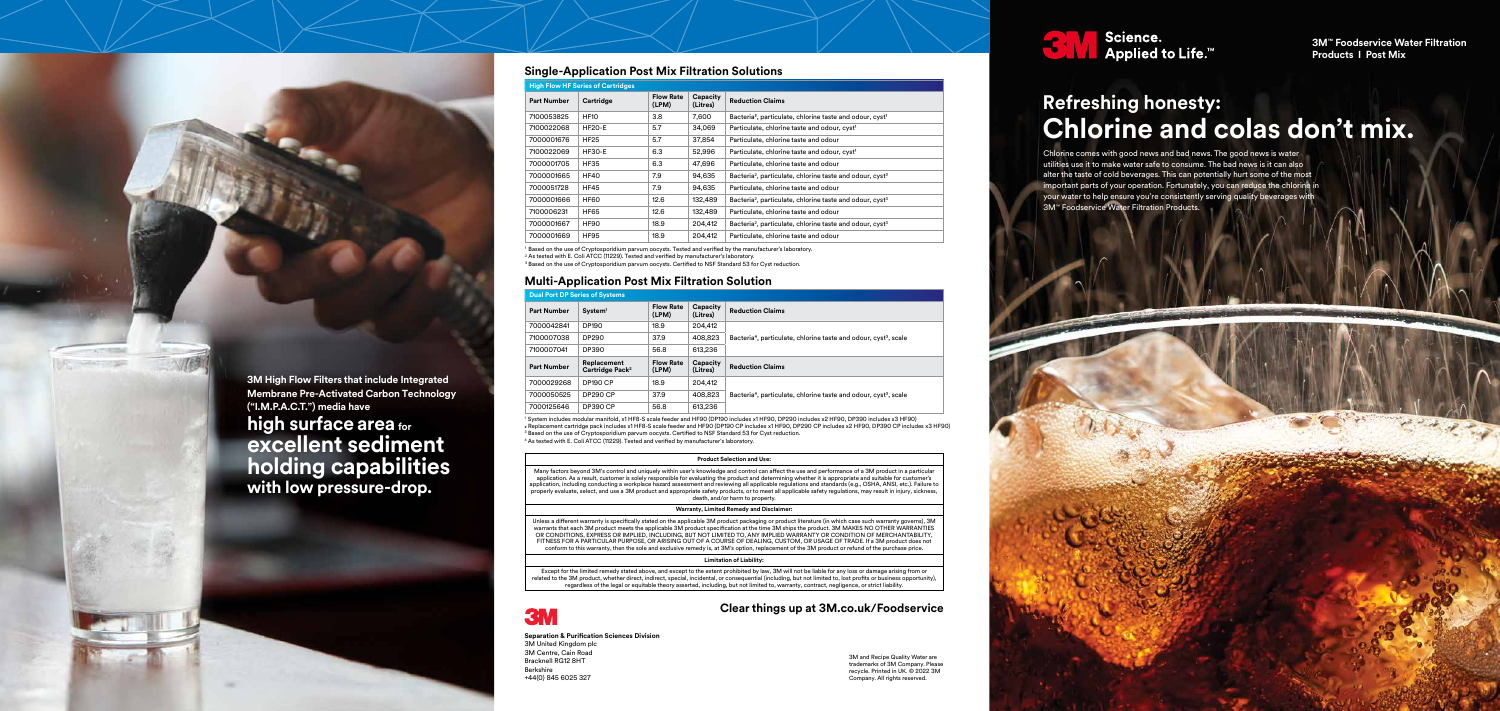

Chlorine comes with good news and bad news. The good news is water utilities use it to make water safe to consume. The bad news is it can also alter the taste of cold beverages. This can potentially hurt some of the most important parts of your operation. Fortunately, you can reduce the chlorine in your water to help ensure you're consistently serving quality beverages with 3M™ Foodservice Water Filtration Products.

# **Refreshing honesty: Chlorine and colas don't mix.**

**3M™ Foodservice Water Filtration Products I Post Mix** 

# **Clear things up at 3M.co.uk/Foodservice**

| <b>High Flow HF Series of Cartridges</b> |               |                           |                      |                                                                                  |  |  |  |  |
|------------------------------------------|---------------|---------------------------|----------------------|----------------------------------------------------------------------------------|--|--|--|--|
| <b>Part Number</b>                       | Cartridge     | <b>Flow Rate</b><br>(LPM) | Capacity<br>(Litres) | <b>Reduction Claims</b>                                                          |  |  |  |  |
| 7100053825                               | <b>HF10</b>   | 3.8                       | 7,600                | Bacteria <sup>2</sup> , particulate, chlorine taste and odour, cyst <sup>1</sup> |  |  |  |  |
| 7100022068                               | <b>HF20-E</b> | 5.7                       | 34,069               | Particulate, chlorine taste and odour, cyst <sup>1</sup>                         |  |  |  |  |
| 7000001676                               | <b>HF25</b>   | 5.7                       | 37,854               | Particulate, chlorine taste and odour                                            |  |  |  |  |
| 7100022069                               | <b>HF30-E</b> | 6.3                       | 52,996               | Particulate, chlorine taste and odour, cyst <sup>1</sup>                         |  |  |  |  |
| 7000001705                               | HF35          | 6.3                       | 47,696               | Particulate, chlorine taste and odour                                            |  |  |  |  |
| 7000001665                               | <b>HF40</b>   | 7.9                       | 94,635               | Bacteria <sup>2</sup> , particulate, chlorine taste and odour, cyst <sup>3</sup> |  |  |  |  |
| 7000051728                               | <b>HF45</b>   | 7.9                       | 94,635               | Particulate, chlorine taste and odour                                            |  |  |  |  |
| 7000001666                               | <b>HF60</b>   | 12.6                      | 132,489              | Bacteria <sup>2</sup> , particulate, chlorine taste and odour, cyst <sup>3</sup> |  |  |  |  |
| 7100006231                               | HF65          | 12.6                      | 132,489              | Particulate, chlorine taste and odour                                            |  |  |  |  |
| 7000001667                               | HF90          | 18.9                      | 204,412              | Bacteria <sup>2</sup> , particulate, chlorine taste and odour, cyst <sup>3</sup> |  |  |  |  |
| 7000001669                               | <b>HF95</b>   | 18.9                      | 204,412              | Particulate, chlorine taste and odour                                            |  |  |  |  |

<sup>1</sup> System includes modular manifold, x1 HF8-S scale feeder and HF90 (DP190 includes x1 HF90, DP290 includes x2 HF90, DP390 includes x3 HF90) 2 Replacement cartridge pack includes x1 HF8-S scale feeder and HF90 (DP190 CP includes x1 HF90, DP290 CP includes x2 HF90, DP390 CP includes x3 HF90)  $^8$  Based on the use of Cryptosporidium parvum oocysts. Certified to NSF Standard 53 for Cyst reduction.

# **Dual Port DP Series of Systems**

**(Litres) Reduction Claims**

particulate, chlorine taste and odour, cyst<sup>3</sup>, scale

particulate, chlorine taste and odour, cyst<sup>3</sup>, scale

| <b>Part Number</b> | System <sup>1</sup>                        | <b>Flow Rate</b><br>(LPM) | Capacity<br>(Litres) | <b>Reduction Claims</b>           |  |
|--------------------|--------------------------------------------|---------------------------|----------------------|-----------------------------------|--|
| 7000042841         | DP190                                      | 18.9                      | 204,412              |                                   |  |
| 7100007038         | DP290                                      | 37.9                      | 408,823              | Bacteria <sup>4</sup> , particula |  |
| 7100007041         | DP390                                      | 56.8                      | 613,236              |                                   |  |
| <b>Part Number</b> | Replacement<br>Cartridge Pack <sup>2</sup> | <b>Flow Rate</b><br>(LPM) | Capacity<br>(Litres) | <b>Reduction Claims</b>           |  |
| 7000029268         | <b>DP190 CP</b>                            | 18.9                      | 204.412              |                                   |  |
| 7000050525         | <b>DP290 CP</b>                            | 37.9                      | 408,823              | Bacteria <sup>4</sup> , particula |  |
| 7000125646         | <b>DP390 CP</b>                            | 56.8                      | 613,236              |                                   |  |

# **Single-Application Post Mix Filtration Solutions**

# **Multi-Application Post Mix Filtration Solution**

<sup>1</sup> Based on the use of Cryptosporidium parvum oocysts. Tested and verified by the manufacturer's laboratory.  $^{\rm 2}$  As tested with E. Coli ATCC (11229). Tested and verified by manufacturer's laboratory. <sup>3</sup> Based on the use of Cryptosporidium parvum oocysts. Certified to NSF Standard 53 for Cyst reduction.

<sup>4</sup> As tested with E. Coli ATCC (11229). Tested and verified by manufacturer's laboratory.

**Separation & Purification Sciences Division** 3M United Kingdom plc 3M Centre, Cain Road Bracknell RG12 8HT Berkshire +44(0) 845 6025 327

3M and Recipe Quality Water are trademarks of 3M Company. Please recycle. Printed in UK. © 2022 3M Company. All rights reserved.



## **Product Selection and Use:**

Many factors beyond 3M's control and uniquely within user's knowledge and control can affect the use and performance of a 3M product in a particular application. As a result, customer is solely responsible for evaluating the product and determining whether it is appropriate and suitable for customer's application, including conducting a workplace hazard assessment and reviewing all applicable regulations and standards (e.g., OSHA, ANSI, etc.). Failure to properly evaluate, select, and use a 3M product and appropriate safety products, or to meet all applicable safety regulations, may result in injury, sickness, death, and/or harm to property.

## **Warranty, Limited Remedy and Disclaimer:**

Unless a different warranty is specifically stated on the applicable 3M product packaging or product literature (in which case such warranty governs), 3M warrants that each 3M product meets the applicable 3M product specification at the time 3M ships the product. 3M MAKES NO OTHER WARRANTIES OR CONDITIONS, EXPRESS OR IMPLIED, INCLUDING, BUT NOT LIMITED TO, ANY IMPLIED WARRANTY OR CONDITION OF MERCHANTABILITY, FITNESS FOR A PARTICULAR PURPOSE, OR ARISING OUT OF A COURSE OF DEALING, CUSTOM, OR USAGE OF TRADE. If a 3M product does not conform to this warranty, then the sole and exclusive remedy is, at 3M's option, replacement of the 3M product or refund of the purchase price.

## **Limitation of Liability:**

Except for the limited remedy stated above, and except to the extent prohibited by law, 3M will not be liable for any loss or damage arising from or related to the 3M product, whether direct, indirect, special, incidental, or consequential (including, but not limited to, lost profits or business opportunity), regardless of the legal or equitable theory asserted, including, but not limited to, warranty, contract, negligence, or strict liability.